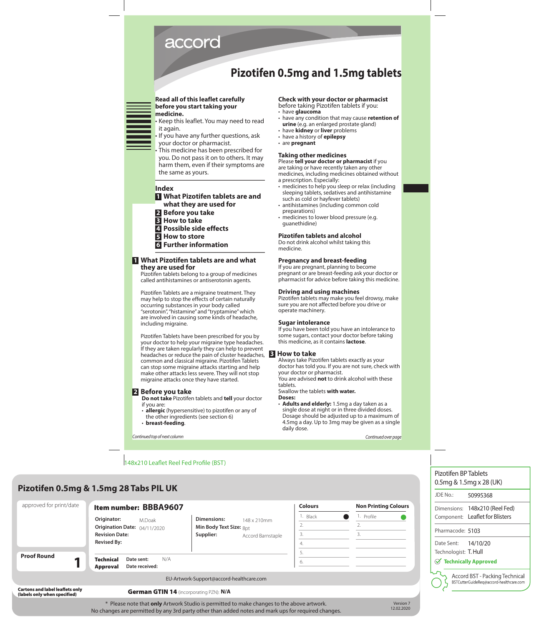# accord

# **Pizotifen 0.5mg and 1.5mg tablets**

#### **Read all of this leaflet carefully before you start taking your medicine.**

- Keep this leaflet. You may need to read it again.
- If you have any further questions, ask your doctor or pharmacist.
- This medicine has been prescribed for you. Do not pass it on to others. It may harm them, even if their symptoms are the same as yours.

# **Index**

- **1 What Pizotifen tablets are and what they are used for**
- **2 Before you take**
- **3 How to take**
- **4 Possible side effects**
- **5 How to store**
- **6 Further information**

# **1 What Pizotifen tablets are and what they are used for**

 Pizotifen tablets belong to a group of medicines called antihistamines or antiserotonin agents.

 Pizotifen Tablets are a migraine treatment. They may help to stop the effects of certain naturally occurring substances in your body called "serotonin", "histamine" and "tryptamine" which are involved in causing some kinds of headache, including migraine.

 Pizotifen Tablets have been prescribed for you by your doctor to help your migraine type headaches. If they are taken regularly they can help to prevent headaches or reduce the pain of cluster headaches, common and classical migraine. Pizotifen Tablets can stop some migraine attacks starting and help make other attacks less severe. They will not stop migraine attacks once they have started.

# **2 Before you take**

**Do not take** Pizotifen tablets and **tell** your doctor if you are:

- **allergic** (hypersensitive) to pizotifen or any of the other ingredients (see section 6)
- **breast-feeding**.

# **Check with your doctor or pharmacist**

before taking Pizotifen tablets if you:

- have **glaucoma**
- have any condition that may cause **retention of urine** (e.g. an enlarged prostate gland)
- have **kidney** or **liver** problems
- have a history of **epilepsy**
- are **pregnant**

# **Taking other medicines**

Please **tell your doctor or pharmacist** if you are taking or have recently taken any other medicines, including medicines obtained without a prescription. Especially:

- medicines to help you sleep or relax (including sleeping tablets, sedatives and antihistamine such as cold or hayfever tablets)
- antihistamines (including common cold preparations)
- medicines to lower blood pressure (e.g. guanethidine)

# **Pizotifen tablets and alcohol**

Do not drink alcohol whilst taking this medicine.

# **Pregnancy and breast-feeding**

If you are pregnant, planning to become pregnant or are breast-feeding ask your doctor or pharmacist for advice before taking this medicine.

#### **Driving and using machines**

Pizotifen tablets may make you feel drowsy, make sure you are not affected before you drive or operate machinery.

#### **Sugar intolerance**

If you have been told you have an intolerance to some sugars, contact your doctor before taking this medicine, as it contains **lactose**.

# **3 How to take**

Always take Pizotifen tablets exactly as your doctor has told you. If you are not sure, check with your doctor or pharmacist.

You are advised **not** to drink alcohol with these tablets.

Swallow the tablets **with water.**

- **Doses:**
- **Adults and elderly:** 1.5mg a day taken as a single dose at night or in three divided doses. Dosage should be adjusted up to a maximum of 4.5mg a day. Up to 3mg may be given as a single daily dose.